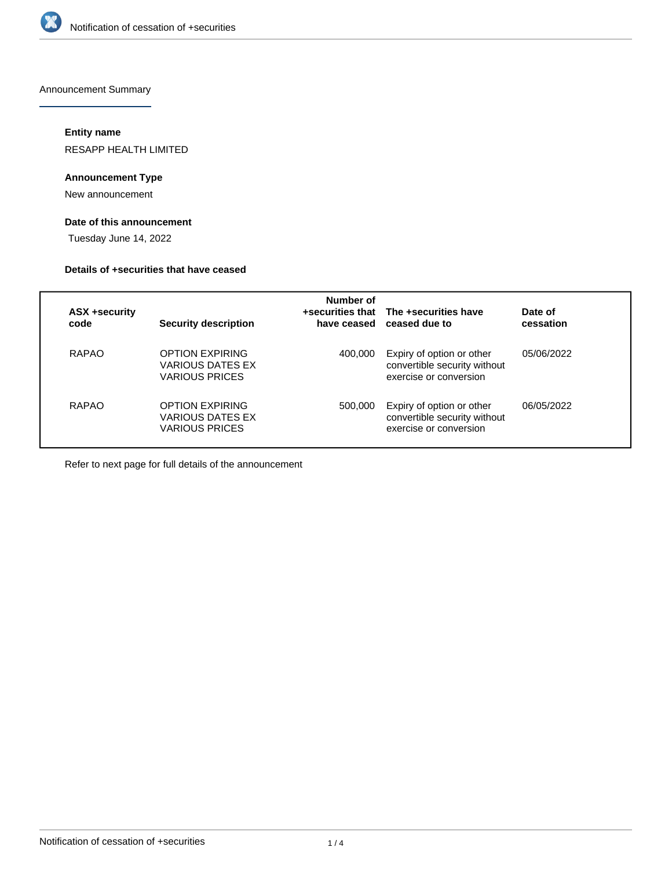

Announcement Summary

# **Entity name**

RESAPP HEALTH LIMITED

# **Announcement Type**

New announcement

# **Date of this announcement**

Tuesday June 14, 2022

#### **Details of +securities that have ceased**

| ASX +security<br>code | <b>Security description</b>                                         | Number of | +securities that The +securities have<br>have ceased ceased due to                  | Date of<br>cessation |
|-----------------------|---------------------------------------------------------------------|-----------|-------------------------------------------------------------------------------------|----------------------|
| RAPAO                 | <b>OPTION EXPIRING</b><br><b>VARIOUS DATES EX</b><br>VARIOUS PRICES | 400.000   | Expiry of option or other<br>convertible security without<br>exercise or conversion | 05/06/2022           |
| RAPAO                 | <b>OPTION EXPIRING</b><br>VARIOUS DATES EX<br><b>VARIOUS PRICES</b> | 500,000   | Expiry of option or other<br>convertible security without<br>exercise or conversion | 06/05/2022           |

Refer to next page for full details of the announcement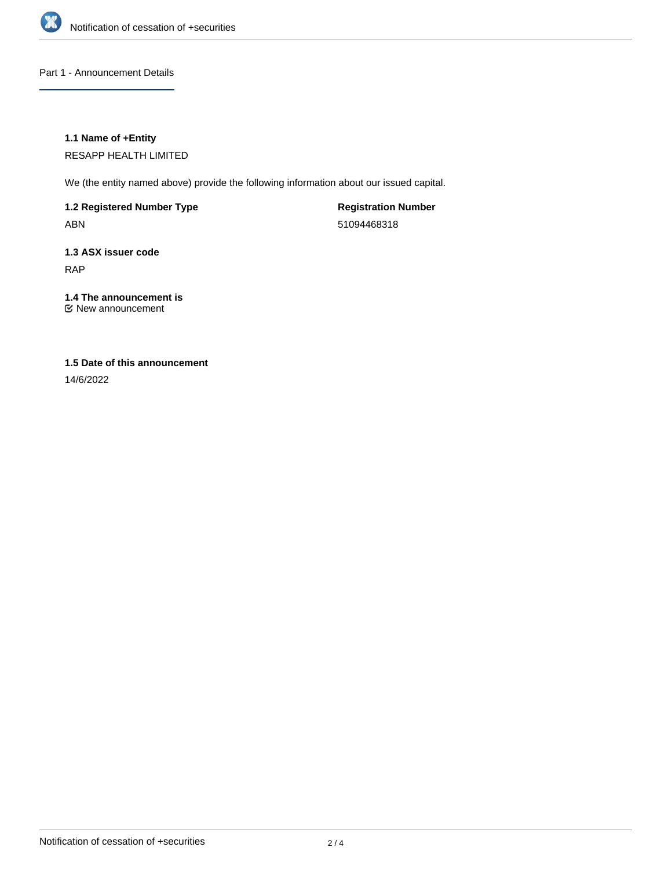

Part 1 - Announcement Details

# **1.1 Name of +Entity**

RESAPP HEALTH LIMITED

We (the entity named above) provide the following information about our issued capital.

**1.2 Registered Number Type**

ABN

**Registration Number** 51094468318

**1.3 ASX issuer code** RAP

# **1.4 The announcement is**

New announcement

# **1.5 Date of this announcement**

14/6/2022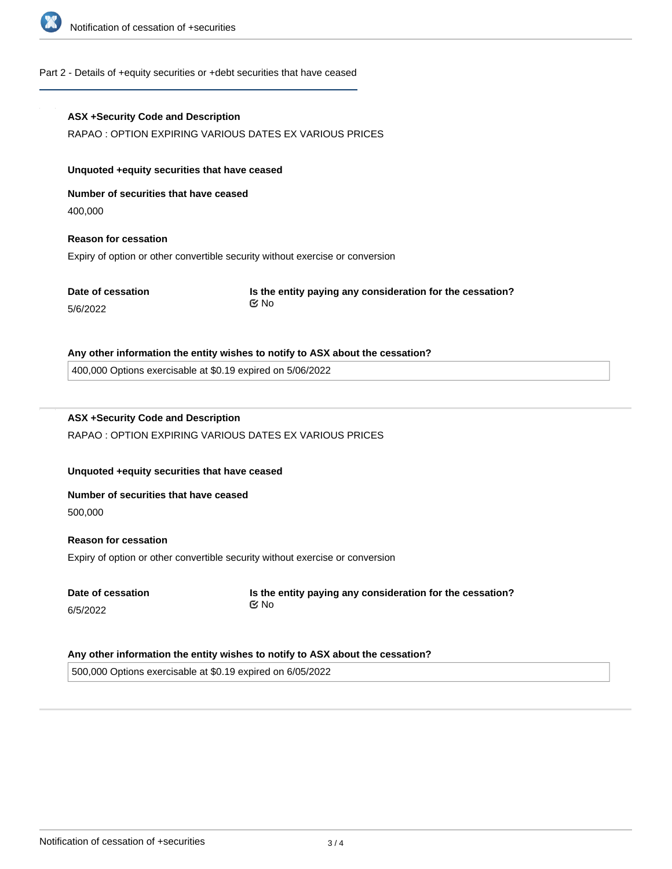

### Part 2 - Details of +equity securities or +debt securities that have ceased

# **ASX +Security Code and Description** RAPAO : OPTION EXPIRING VARIOUS DATES EX VARIOUS PRICES **Unquoted +equity securities that have ceased Number of securities that have ceased** 400,000 **Reason for cessation** Expiry of option or other convertible security without exercise or conversion **Date of cessation** 5/6/2022 **Is the entity paying any consideration for the cessation? Any other information the entity wishes to notify to ASX about the cessation?** 400,000 Options exercisable at \$0.19 expired on 5/06/2022 **ASX +Security Code and Description** RAPAO : OPTION EXPIRING VARIOUS DATES EX VARIOUS PRICES **Unquoted +equity securities that have ceased Number of securities that have ceased** 500,000 **Reason for cessation** No

Expiry of option or other convertible security without exercise or conversion

**Date of cessation** 6/5/2022

**Is the entity paying any consideration for the cessation?** No

#### **Any other information the entity wishes to notify to ASX about the cessation?**

500,000 Options exercisable at \$0.19 expired on 6/05/2022